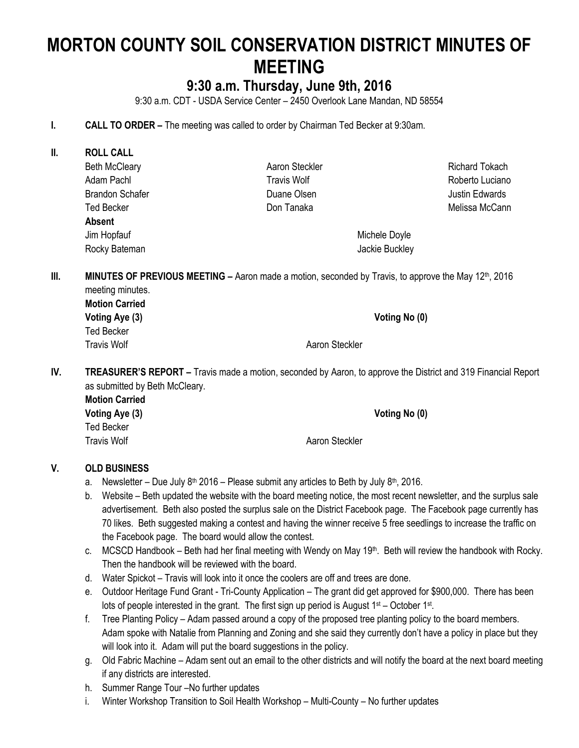# **MORTON COUNTY SOIL CONSERVATION DISTRICT MINUTES OF MEETING**

# **9:30 a.m. Thursday, June 9th, 2016**

9:30 a.m. CDT - USDA Service Center – 2450 Overlook Lane Mandan, ND 58554

- **I. CALL TO ORDER –** The meeting was called to order by Chairman Ted Becker at 9:30am.
- **II. ROLL CALL** Beth McCleary Adam Pachl Brandon Schafer Ted Becker **Absent** Jim Hopfauf Rocky Bateman

Aaron Steckler Travis Wolf Duane Olsen Don Tanaka

Richard Tokach Roberto Luciano Justin Edwards Melissa McCann

Michele Doyle Jackie Buckley

**III. MINUTES OF PREVIOUS MEETING –** Aaron made a motion, seconded by Travis, to approve the May 12<sup>th</sup>, 2016 meeting minutes.

**Motion Carried Voting Aye (3) Voting No (0)** Ted Becker Travis Wolf **Abraham Aaron Steckler** Aaron Steckler

**IV. TREASURER'S REPORT –** Travis made a motion, seconded by Aaron, to approve the District and 319 Financial Report as submitted by Beth McCleary.

**Motion Carried Voting Aye (3) Voting No (0)** Ted Becker Travis Wolf **All Accord Accord Aaron Steckler** Annual Accord Aaron Steckler

# **V. OLD BUSINESS**

- a. Newsletter Due July  $8<sup>th</sup>$  2016 Please submit any articles to Beth by July  $8<sup>th</sup>$ , 2016.
- b. Website Beth updated the website with the board meeting notice, the most recent newsletter, and the surplus sale advertisement. Beth also posted the surplus sale on the District Facebook page. The Facebook page currently has 70 likes. Beth suggested making a contest and having the winner receive 5 free seedlings to increase the traffic on the Facebook page. The board would allow the contest.
- c. MCSCD Handbook Beth had her final meeting with Wendy on May 19<sup>th</sup>. Beth will review the handbook with Rocky. Then the handbook will be reviewed with the board.
- d. Water Spickot Travis will look into it once the coolers are off and trees are done.
- e. Outdoor Heritage Fund Grant Tri-County Application The grant did get approved for \$900,000. There has been lots of people interested in the grant. The first sign up period is August 1<sup>st</sup> – October 1<sup>st</sup>.
- f. Tree Planting Policy Adam passed around a copy of the proposed tree planting policy to the board members. Adam spoke with Natalie from Planning and Zoning and she said they currently don't have a policy in place but they will look into it. Adam will put the board suggestions in the policy.
- g. Old Fabric Machine Adam sent out an email to the other districts and will notify the board at the next board meeting if any districts are interested.
- h. Summer Range Tour –No further updates
- i. Winter Workshop Transition to Soil Health Workshop Multi-County No further updates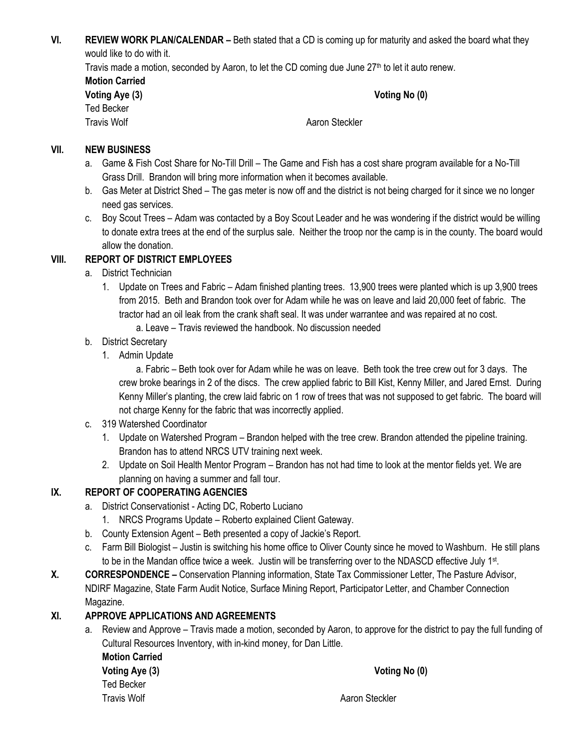**VI. REVIEW WORK PLAN/CALENDAR –** Beth stated that a CD is coming up for maturity and asked the board what they would like to do with it.

Travis made a motion, seconded by Aaron, to let the CD coming due June  $27<sup>th</sup>$  to let it auto renew.

| <b>Motion Carried</b> |  |  |
|-----------------------|--|--|
| Voting Aye (3)        |  |  |
| Ted Becker            |  |  |
| Travic Wolf           |  |  |

**Voting No (0)** 

Travis Wolf **All Accord Accord Accord Accord Accord Accord Accord Accord Accord Accord Accord Accord Accord Accord Accord Accord Accord Accord Accord Accord Accord Accord Accord Accord Accord Accord Accord Accord Accord Ac** 

#### **VII. NEW BUSINESS**

- a. Game & Fish Cost Share for No-Till Drill The Game and Fish has a cost share program available for a No-Till Grass Drill. Brandon will bring more information when it becomes available.
- b. Gas Meter at District Shed The gas meter is now off and the district is not being charged for it since we no longer need gas services.
- c. Boy Scout Trees Adam was contacted by a Boy Scout Leader and he was wondering if the district would be willing to donate extra trees at the end of the surplus sale. Neither the troop nor the camp is in the county. The board would allow the donation.

### **VIII. REPORT OF DISTRICT EMPLOYEES**

- a. District Technician
	- 1. Update on Trees and Fabric Adam finished planting trees. 13,900 trees were planted which is up 3,900 trees from 2015. Beth and Brandon took over for Adam while he was on leave and laid 20,000 feet of fabric. The tractor had an oil leak from the crank shaft seal. It was under warrantee and was repaired at no cost.
		- a. Leave Travis reviewed the handbook. No discussion needed
- b. District Secretary
	- 1. Admin Update

a. Fabric – Beth took over for Adam while he was on leave. Beth took the tree crew out for 3 days. The crew broke bearings in 2 of the discs. The crew applied fabric to Bill Kist, Kenny Miller, and Jared Ernst. During Kenny Miller's planting, the crew laid fabric on 1 row of trees that was not supposed to get fabric. The board will not charge Kenny for the fabric that was incorrectly applied.

- c. 319 Watershed Coordinator
	- 1. Update on Watershed Program Brandon helped with the tree crew. Brandon attended the pipeline training. Brandon has to attend NRCS UTV training next week.
	- 2. Update on Soil Health Mentor Program Brandon has not had time to look at the mentor fields yet. We are planning on having a summer and fall tour.

# **IX. REPORT OF COOPERATING AGENCIES**

- a. District Conservationist Acting DC, Roberto Luciano
	- 1. NRCS Programs Update Roberto explained Client Gateway.
- b. County Extension Agent Beth presented a copy of Jackie's Report.
- c. Farm Bill Biologist Justin is switching his home office to Oliver County since he moved to Washburn. He still plans to be in the Mandan office twice a week. Justin will be transferring over to the NDASCD effective July 1<sup>st</sup>.
- **X. CORRESPONDENCE –** Conservation Planning information, State Tax Commissioner Letter, The Pasture Advisor, NDIRF Magazine, State Farm Audit Notice, Surface Mining Report, Participator Letter, and Chamber Connection Magazine.

# **XI. APPROVE APPLICATIONS AND AGREEMENTS**

a. Review and Approve – Travis made a motion, seconded by Aaron, to approve for the district to pay the full funding of Cultural Resources Inventory, with in-kind money, for Dan Little. **Motion Carried Voting Aye (3) Voting No (0)** Ted Becker Travis Wolf **Abraham Contract Aaron Steckler** Aaron Steckler